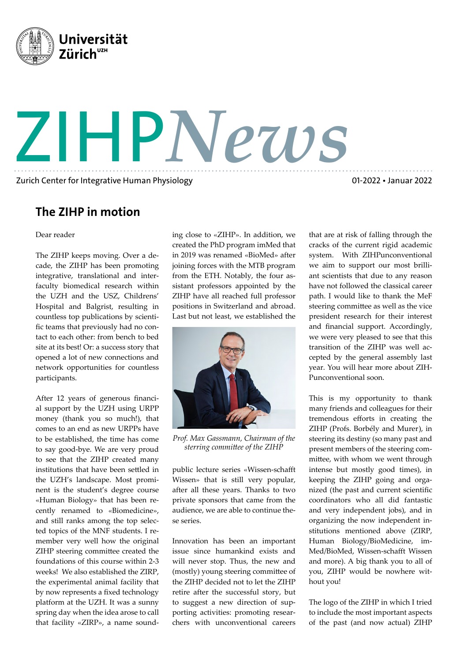

Zurich Center for Integrative Human Physiology

01-2022 • Januar 2022

## The ZIHP in motion

Dear reader

The ZIHP keeps moving. Over a decade, the ZIHP has been promoting integrative, translational and interfaculty biomedical research within the UZH and the USZ, Childrens' Hospital and Balgrist, resulting in countless top publications by scientific teams that previously had no contact to each other: from bench to bed site at its best! Or: a success story that opened a lot of new connections and network opportunities for countless participants.

After 12 years of generous financial support by the UZH using URPP money (thank you so much!), that comes to an end as new URPPs have to be established, the time has come to say good-bye. We are very proud to see that the ZIHP created many institutions that have been settled in the UZH's landscape. Most prominent is the student's degree course «Human Biology» that has been recently renamed to «Biomedicine», and still ranks among the top selected topics of the MNF students. I remember very well how the original ZIHP steering committee created the foundations of this course within 2-3 weeks! We also established the ZIRP, the experimental animal facility that by now represents a fixed technology platform at the UZH. It was a sunny spring day when the idea arose to call that facility «ZIRP», a name sound-

ing close to «ZIHP». In addition, we created the PhD program imMed that in 2019 was renamed «BioMed» after joining forces with the MTB program from the ETH. Notably, the four assistant professors appointed by the ZIHP have all reached full professor positions in Switzerland and abroad. Last but not least, we established the

ZIHP*News*



*Prof. Max Gassmann, Chairman of the sterring committee of the ZIHP*

public lecture series «Wissen-schafft Wissen» that is still very popular, after all these years. Thanks to two private sponsors that came from the audience, we are able to continue these series.

Innovation has been an important issue since humankind exists and will never stop. Thus, the new and (mostly) young steering committee of the ZIHP decided not to let the ZIHP retire after the successful story, but to suggest a new direction of supporting activities: promoting researchers with unconventional careers that are at risk of falling through the cracks of the current rigid academic system. With ZIHPunconventional we aim to support our most brilliant scientists that due to any reason have not followed the classical career path. I would like to thank the MeF steering committee as well as the vice president research for their interest and financial support. Accordingly, we were very pleased to see that this transition of the ZIHP was well accepted by the general assembly last year. You will hear more about ZIH-Punconventional soon.

This is my opportunity to thank many friends and colleagues for their tremendous efforts in creating the ZIHP (Profs. Borbély and Murer), in steering its destiny (so many past and present members of the steering committee, with whom we went through intense but mostly good times), in keeping the ZIHP going and organized (the past and current scientific coordinators who all did fantastic and very independent jobs), and in organizing the now independent institutions mentioned above (ZIRP, Human Biology/BioMedicine, im-Med/BioMed, Wissen-schafft Wissen and more). A big thank you to all of you, ZIHP would be nowhere without you!

The logo of the ZIHP in which I tried to include the most important aspects of the past (and now actual) ZIHP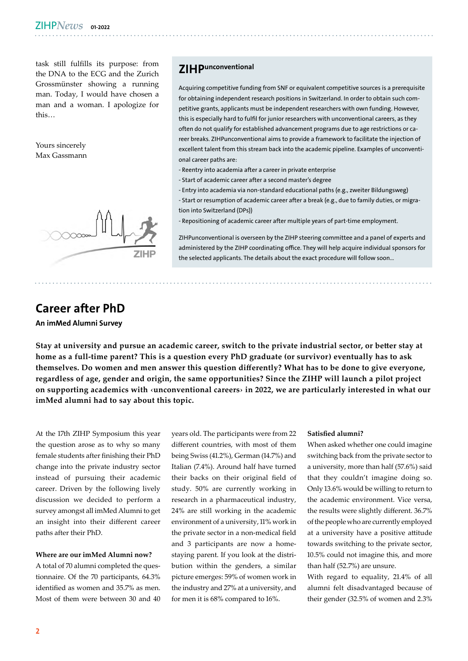task still fulfills its purpose: from the DNA to the ECG and the Zurich Grossmünster showing a running man. Today, I would have chosen a man and a woman. I apologize for this…

Yours sincerely Max Gassmann



### Career after PhD

An imMed Alumni Survey

**ZIH Punconventional** 

Acquiring competitive funding from SNF or equivalent competitive sources is a prerequisite for obtaining independent research positions in Switzerland. In order to obtain such competitive grants, applicants must be independent researchers with own funding. However, this is especially hard to fulfil for junior researchers with unconventional careers, as they often do not qualify for established advancement programs due to age restrictions or career breaks. ZIHPunconventional aims to provide a framework to facilitate the injection of excellent talent from this stream back into the academic pipeline. Examples of unconventional career paths are:

- Reentry into academia after a career in private enterprise
- Start of academic career after a second master's degree
- Entry into academia via non-standard educational paths (e.g., zweiter Bildungsweg)

- Start or resumption of academic career after a break (e.g., due to family duties, or migration into Switzerland (DPs))

- Repositioning of academic career after multiple years of part-time employment.

ZIHPunconventional is overseen by the ZIHP steering committee and a panel of experts and administered by the ZIHP coordinating office. They will help acquire individual sponsors for the selected applicants. The details about the exact procedure will follow soon...

**Stay at university and pursue an academic career, switch to the private industrial sector, or better stay at home as a full-time parent? This is a question every PhD graduate (or survivor) eventually has to ask themselves. Do women and men answer this question differently? What has to be done to give everyone, regardless of age, gender and origin, the same opportunities? Since the ZIHP will launch a pilot project on supporting academics with ‹unconventional careers› in 2022, we are particularly interested in what our imMed alumni had to say about this topic.**

At the 17th ZIHP Symposium this year the question arose as to why so many female students after finishing their PhD change into the private industry sector instead of pursuing their academic career. Driven by the following lively discussion we decided to perform a survey amongst all imMed Alumni to get an insight into their different career paths after their PhD.

#### **Where are our imMed Alumni now?**

A total of 70 alumni completed the questionnaire. Of the 70 participants, 64.3% identified as women and 35.7% as men. Most of them were between 30 and 40 years old. The participants were from 22 different countries, with most of them being Swiss (41.2%), German (14.7%) and Italian (7.4%). Around half have turned their backs on their original field of study. 50% are currently working in research in a pharmaceutical industry, 24% are still working in the academic environment of a university, 11% work in the private sector in a non-medical field and 3 participants are now a homestaying parent. If you look at the distribution within the genders, a similar picture emerges: 59% of women work in the industry and 27% at a university, and for men it is 68% compared to 16%.

#### **Satisfied alumni?**

When asked whether one could imagine switching back from the private sector to a university, more than half (57.6%) said that they couldn't imagine doing so. Only 13.6% would be willing to return to the academic environment. Vice versa, the results were slightly different. 36.7% of the people who are currently employed at a university have a positive attitude towards switching to the private sector, 10.5% could not imagine this, and more than half (52.7%) are unsure.

With regard to equality, 21.4% of all alumni felt disadvantaged because of their gender (32.5% of women and 2.3%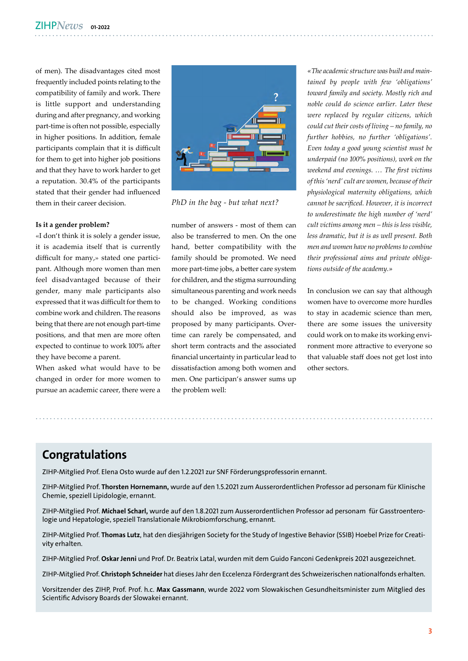of men). The disadvantages cited most frequently included points relating to the compatibility of family and work. There is little support and understanding during and after pregnancy, and working part-time is often not possible, especially in higher positions. In addition, female participants complain that it is difficult for them to get into higher job positions and that they have to work harder to get a reputation. 30.4% of the participants stated that their gender had influenced them in their career decision.

#### **Is it a gender problem?**

«I don't think it is solely a gender issue, it is academia itself that is currently difficult for many,» stated one participant. Although more women than men feel disadvantaged because of their gender, many male participants also expressed that it was difficult for them to combine work and children. The reasons being that there are not enough part-time positions, and that men are more often expected to continue to work 100% after they have become a parent.

When asked what would have to be changed in order for more women to pursue an academic career, there were a



*PhD in the bag - but what next?*

number of answers - most of them can also be transferred to men. On the one hand, better compatibility with the family should be promoted. We need more part-time jobs, a better care system for children, and the stigma surrounding simultaneous parenting and work needs to be changed. Working conditions should also be improved, as was proposed by many participants. Overtime can rarely be compensated, and short term contracts and the associated financial uncertainty in particular lead to dissatisfaction among both women and men. One participan's answer sums up the problem well:

*«The academic structure was built and maintained by people with few 'obligations' toward family and society. Mostly rich and noble could do science earlier. Later these were replaced by regular citizens, which could cut their costs of living – no family, no further hobbies, no further 'obligations'. Even today a good young scientist must be underpaid (no 100% positions), work on the weekend and evenings. … The first victims of this 'nerd' cult are women, because of their physiological maternity obligations, which cannot be sacrificed. However, it is incorrect to underestimate the high number of 'nerd' cult victims among men – this is less visible, less dramatic, but it is as well present. Both men and women have no problems to combine their professional aims and private obligations outside of the academy.»*

In conclusion we can say that although women have to overcome more hurdles to stay in academic science than men, there are some issues the university could work on to make its working environment more attractive to everyone so that valuable staff does not get lost into other sectors.

### Congratulations

ZIHP-Mitglied Prof. Elena Osto wurde auf den 1.2.2021 zur SNF Förderungsprofessorin ernannt.

ZIHP-Mitglied Prof. Thorsten Hornemann, wurde auf den 1.5.2021 zum Ausserordentlichen Professor ad personam für Klinische Chemie, speziell Lipidologie, ernannt.

ZIHP-Mitglied Prof. Michael Scharl, wurde auf den 1.8.2021 zum Ausserordentlichen Professor ad personam für Gasstroenterologie und Hepatologie, speziell Translationale Mikrobiomforschung, ernannt.

ZIHP-Mitglied Prof. Thomas Lutz, hat den diesjährigen Society for the Study of Ingestive Behavior (SSIB) Hoebel Prize for Creativity erhalten.

ZIHP-Mitglied Prof. Oskar Jenni und Prof. Dr. Beatrix Latal, wurden mit dem Guido Fanconi Gedenkpreis 2021 ausgezeichnet.

ZIHP-Mitglied Prof. Christoph Schneider hat dieses Jahr den Eccelenza Fördergrant des Schweizerischen nationalfonds erhalten.

Vorsitzender des ZIHP, Prof. Prof. h.c. Max Gassmann, wurde 2022 vom Slowakischen Gesundheitsminister zum Mitglied des Scientific Advisory Boards der Slowakei ernannt.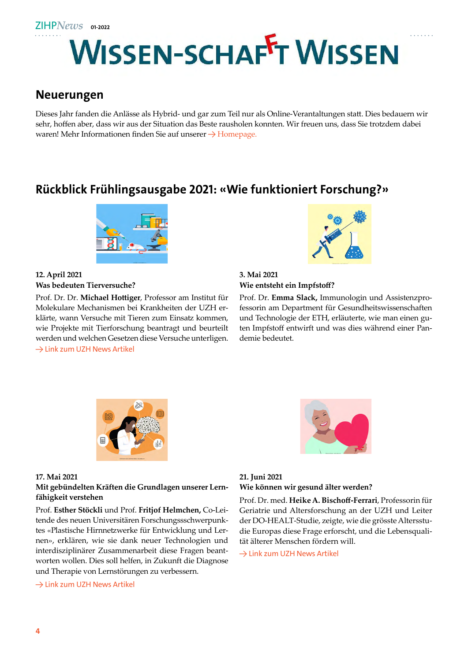

### Neuerungen

Dieses Jahr fanden die Anlässe als Hybrid- und gar zum Teil nur als Online-Verantaltungen statt. Dies bedauern wir sehr, hoffen aber, dass wir aus der Situation das Beste rausholen konnten. Wir freuen uns, dass Sie trotzdem dabei waren! Mehr Informationen finden Sie auf unserer  $\rightarrow$  [Homepage.](https://www.zihp.uzh.ch/en/wissen-schafft-wissen.html)

# Rückblick Frühlingsausgabe 2021: «Wie funktioniert Forschung?»



### **12. April 2021 Was bedeuten Tierversuche?**

Prof. Dr. Dr. **Michael Hottiger**, Professor am Institut für Molekulare Mechanismen bei Krankheiten der UZH erklärte, wann Versuche mit Tieren zum Einsatz kommen, wie Projekte mit Tierforschung beantragt und beurteilt werden und welchen Gesetzen diese Versuche unterligen. [→ Link zum UZH News Artikel](https://www.news.uzh.ch/de/articles/2021/tierversuch.html)



#### **3. Mai 2021 Wie entsteht ein Impfstoff?**

Prof. Dr. **Emma Slack,** Immunologin und Assistenzprofessorin am Department für Gesundheitswissenschaften und Technologie der ETH, erläuterte, wie man einen guten Impfstoff entwirft und was dies während einer Pandemie bedeutet.



#### **17. Mai 2021**

### **Mit gebündelten Kräften die Grundlagen unserer Lernfähigkeit verstehen**

Prof. **Esther Stöckli** und Prof. **Fritjof Helmchen,** Co-Leitende des neuen Universitären Forschungssschwerpunktes «Plastische Hirnnetzwerke für Entwicklung und Lernen», erklären, wie sie dank neuer Technologien und interdisziplinärer Zusammenarbeit diese Fragen beantworten wollen. Dies soll helfen, in Zukunft die Diagnose und Therapie von Lernstörungen zu verbessern.

#### [→ Link zum UZH News Artikel](https://www.news.uzh.ch/de/articles/2021/lernen.html)



### **21. Juni 2021 Wie können wir gesund älter werden?**

Prof. Dr. med. **Heike A. Bischoff-Ferrari**, Professorin für Geriatrie und Altersforschung an der UZH und Leiter der DO-HEALT-Studie, zeigte, wie die grösste Altersstudie Europas diese Frage erforscht, und die Lebensqualität älterer Menschen fördern will.

[→ Link zum UZH News Artikel](https://www.news.uzh.ch/de/articles/2021/gesund-im-alter.html)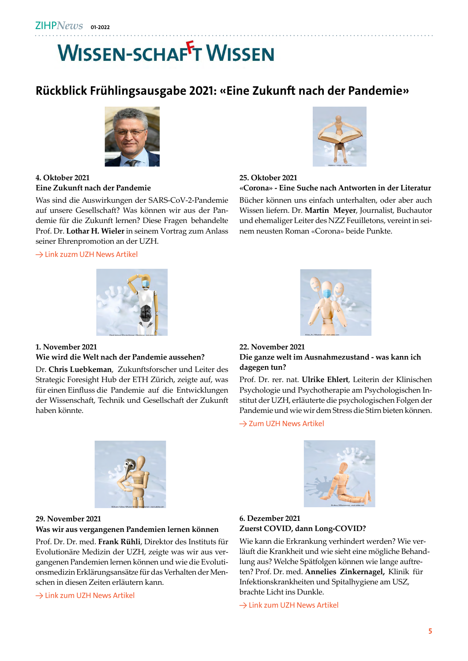# **WISSEN-SCHAFFT WISSEN**

# Rückblick Frühlingsausgabe 2021: «Eine Zukunft nach der Pandemie»



### **4. Oktober 2021 Eine Zukunft nach der Pandemie**

Was sind die Auswirkungen der SARS-CoV-2-Pandemie auf unsere Gesellschaft? Was können wir aus der Pandemie für die Zukunft lernen? Diese Fragen behandelte Prof. Dr. **Lothar H. Wieler** in seinem Vortrag zum Anlass seiner Ehrenpromotion an der UZH.



### **25. Oktober 2021**

#### **«Corona» - Eine Suche nach Antworten in der Literatur**

Bücher können uns einfach unterhalten, oder aber auch Wissen liefern. Dr. **Martin Meyer**, Journalist, Buchautor und ehemaliger Leiter des NZZ Feuilletons, vereint in seinem neusten Roman «Corona» beide Punkte.



#### [→ Link zuzm UZH News Artikel](https://www.news.uzh.ch/de/articles/2021/lothar-wieler.html)



### **1. November 2021**

#### **Wie wird die Welt nach der Pandemie aussehen?**

Dr. **Chris Luebkeman**, Zukunftsforscher und Leiter des Strategic Foresight Hub der ETH Zürich, zeigte auf, was für einen Einfluss die Pandemie auf die Entwicklungen der Wissenschaft, Technik und Gesellschaft der Zukunft haben könnte.

#### **22. November 2021 Die ganze welt im Ausnahmezustand - was kann ich dagegen tun?**

Prof. Dr. rer. nat. **Ulrike Ehlert**, Leiterin der Klinischen Psychologie und Psychotherapie am Psychologischen Institut der UZH, erläuterte die psychologischen Folgen der Pandemie und wie wir dem Stress die Stirn bieten können.

[→ Zum UZH News Artikel](https://www.news.uzh.ch/de/articles/2021/umgang-mit-stress.html)



#### **29. November 2021**

#### **Was wir aus vergangenen Pandemien lernen können**

Prof. Dr. Dr. med. **Frank Rühli**, Direktor des Instituts für Evolutionäre Medizin der UZH, zeigte was wir aus vergangenen Pandemien lernen können und wie die Evolutionsmedizin Erklärungsansätze für das Verhalten der Menschen in diesen Zeiten erläutern kann.

[→ Link zum UZH News Artikel](https://www.news.uzh.ch/de/articles/2021/lehren-aus-der-pandemie.html)



### **6. Dezember 2021 Zuerst COVID, dann Long-COVID?**

Wie kann die Erkrankung verhindert werden? Wie verläuft die Krankheit und wie sieht eine mögliche Behandlung aus? Welche Spätfolgen können wie lange auftreten? Prof. Dr. med. **Annelies Zinkernagel,** Klinik für Infektionskrankheiten und Spitalhygiene am USZ, brachte Licht ins Dunkle.

[→ Link zum UZH News Artikel](https://www.news.uzh.ch/de/articles/2021/zihp-zinkernagel.html)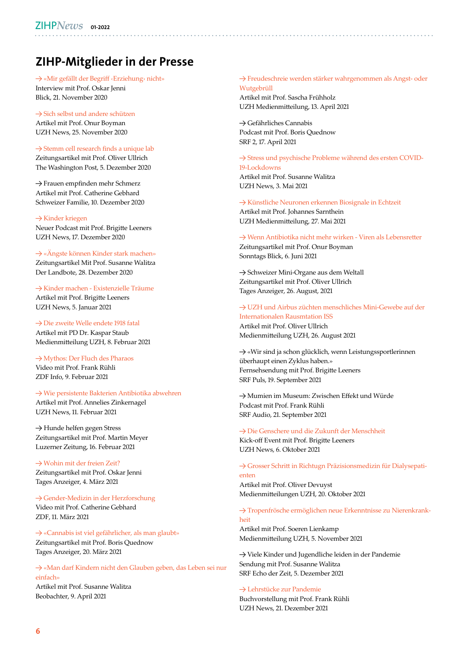# ZIHP-Mitglieder in der Presse

→ [«Mir gefällt der Begriff ‹Erziehung› nicht»](https://www.blick.ch/life/familie/professor-fuer-paediatrie-oskar-jenni-im-grossen-interview-mir-gefaellt-der-begriff-erziehung-nicht-id16206246.html) Interview mit Prof. Oskar Jenni Blick, 21. November 2020

 $\rightarrow$  [Sich selbst und andere schützen](https://www.news.uzh.ch/de/articles/2020/Zwischenstand-Corona-Forschung.html) Artikel mit Prof. Onur Boyman UZH News, 25. November 2020

→ [Stemm cell research finds a unique lab](https://www.washingtonpost.com/science/stem-cells-in-space/2020/12/04/8915f700-2471-11eb-a688-5298ad5d580a_story.html) Zeitungsartikel mit Prof. Oliver Ullrich The Washington Post, 5. Dezember 2020

→ Frauen empfinden mehr Schmerz Artikel mit Prof. Catherine Gebhard Schweizer Familie, 10. Dezember 2020

 $\rightarrow$  [Kinder kriegen](https://www.news.uzh.ch/de/articles/2020/UZH-Magazin-und-neuer-Podcast.html) Neuer Podcast mit Prof. Brigitte Leeners UZH News, 17. Dezember 2020

#### → [«Ängste können Kinder stark machen»](https://www.zihp.uzh.ch/dam/jcr:330826d9-3451-41ba-8d8e-e39f1bc64158/%25C3%2584ngste%2520und%2520Kinder_Lanbote_Walitza.pdf)

Zeitungsartikel Mit Prof. Susanne Walitza Der Landbote, 28. Dezember 2020

→ [Kinder machen - Existenzielle Träume](https://www.news.uzh.ch/de/articles/2021/reproduktionsmedizin.html) Artikel mit Prof. Brigitte Leeners UZH News, 5. Januar 2021

#### → [Die zweite Welle endete 1918 fatal](https://www.media.uzh.ch/de/medienmitteilungen/2021/Spanische_Grippe.html)

Artikel mit PD Dr. Kaspar Staub Medienmitteilung UZH, 8. Februar 2021

→ [Mythos: Der Fluch des Pharaos](https://www.zdf.de/dokumentation/zdfinfo-doku/mythos-die-groessten-raetsel-der-geschichte--der-fluch-des-pharaos-100.html) Video mit Prof. Frank Rühli

ZDF Info, 9. Februar 2021

### → [Wie persistente Bakterien Antibiotika abwehren](https://www.news.uzh.ch/de/articles/2021/bakterien-persistenz.html)

Artikel mit Prof. Annelies Zinkernagel UZH News, 11. Februar 2021

→ Hunde helfen gegen Stress Zeitungsartikel mit Prof. Martin Meyer Luzerner Zeitung, 16. Februar 2021

→ [Wohin mit der freien Zeit?](https://www.zihp.uzh.ch/dam/jcr:6776a934-d94e-42bd-886b-0de1cb85cd3d/Wohin%2520mit%2520der%2520freien%2520Zeit.pdf) Zeitungsartikel mit Prof. Oskar Jenni Tages Anzeiger, 4. März 2021

→ [Gender-Medizin in der Herzforschung](https://www.zdf.de/nachrichten/heute-in-europa/schweiz-gender-medizin-in-der-herzforschung-100.html) Video mit Prof. Catherine Gebhard ZDF, 11. März 2021

→ [«Cannabis ist viel gefährlicher, als man glaubt»](https://www.zihp.uzh.ch/dam/jcr:ae26495b-91f6-4456-a388-dd4d653ea812/Tagi_Quednow.pdf) Zeitungsartikel mit Prof. Boris Quednow Tages Anzeiger, 20. März 2021

→ [«Man darf Kindern nicht den Glauben geben, das Leben sei nur](https://www.beobachter.ch/familie/kinder/resilienz-bei-kindern-man-darf-kindern-nicht-den-glauben-geben-das-leben-sei-nur)  [einfach»](https://www.beobachter.ch/familie/kinder/resilienz-bei-kindern-man-darf-kindern-nicht-den-glauben-geben-das-leben-sei-nur)

Artikel mit Prof. Susanne Walitza Beobachter, 9. April 2021

#### → [Freudeschreie werden stärker wahrgenommen als Angst- oder](https://www.media.uzh.ch/de/medienmitteilungen/2021/Schreie.html)  [Wutgebrüll](https://www.media.uzh.ch/de/medienmitteilungen/2021/Schreie.html)

Artikel mit Prof. Sascha Frühholz UZH Medienmitteilung, 13. April 2021

→ Gefährliches Cannabis Podcast mit Prof. Boris Quednow SRF 2, 17. April 2021

→ [Stress und psychische Probleme während des ersten COVID-](https://www.media.uzh.ch/de/medienmitteilungen/2021/Lockdown-Stress.html)[19-Lockdowns](https://www.media.uzh.ch/de/medienmitteilungen/2021/Lockdown-Stress.html)

Artikel mit Prof. Susanne Walitza UZH News, 3. Mai 2021

→ [Künstliche Neuronen erkennen Biosignale in Echtzeit](https://www.media.uzh.ch/de/medienmitteilungen/2021/chip.html) Artikel mit Prof. Johannes Sarnthein UZH Medienmitteilung, 27. Mai 2021

→ [Wenn Antibiotika nicht mehr wirken - Viren als Lebensretter](https://www.zihp.uzh.ch/dam/jcr:13b6e6fc-b23b-4293-b9c3-65d836923f09/Sonntags%2520Blick_Boyman.pdf) Zeitungsartikel mit Prof. Onur Boyman Sonntags Blick, 6. Juni 2021

→ Schweizer Mini-Organe aus dem Weltall Zeitungsartikel mit Prof. Oliver Ullrich Tages Anzeiger, 26. August, 2021

→ [UZH und Airbus züchten menschliches Mini-Gewebe auf der](https://www.media.uzh.ch/de/medienmitteilungen/2021/UZH-Space-Hub.html)  [Internationalen Rausmtation ISS](https://www.media.uzh.ch/de/medienmitteilungen/2021/UZH-Space-Hub.html) Artikel mit Prof. Oliver Ullrich Medienmitteilung UZH, 26. August 2021

→ «Wir sind ja schon glücklich, wenn Leistungssportlerinnen überhaupt einen Zyklus haben.» Fernsehsendung mit Prof. Brigitte Leeners SRF Puls, 19. September 2021

→ Mumien im Museum: Zwischen Effekt und Würde Podcast mit Prof. Frank Rühli SRF Audio, 21. September 2021

→ [Die Genschere und die Zukunft der Menschheit](https://www.news.uzh.ch/de/articles/2021/kick-off-H2R.html) Kick-off Event mit Prof. Brigitte Leeners UZH News, 6. Oktober 2021

→ [Grosser Schritt in Richtugn Präzisionsmedizin für Dialysepati](https://www.media.uzh.ch/de/medienmitteilungen/2021/Dialysepatienten.html)[enten](https://www.media.uzh.ch/de/medienmitteilungen/2021/Dialysepatienten.html) Artikel mit Prof. Oliver Devuyst Medienmitteilungen UZH, 20. Oktober 2021

→ [Tropenfrösche ermöglichen neue Erkenntnisse zu Nierenkrank](https://www.media.uzh.ch/de/medienmitteilungen/2021/Frosch.html)[heit](https://www.media.uzh.ch/de/medienmitteilungen/2021/Frosch.html)

Artikel mit Prof. Soeren Lienkamp Medienmitteilung UZH, 5. November 2021

→ Viele Kinder und Jugendliche leiden in der Pandemie Sendung mit Prof. Susanne Walitza SRF Echo der Zeit, 5. Dezember 2021

#### → Lehrstücke zur Pandemie

Buchvorstellung mit Prof. Frank Rühli UZH News, 21. Dezember 2021